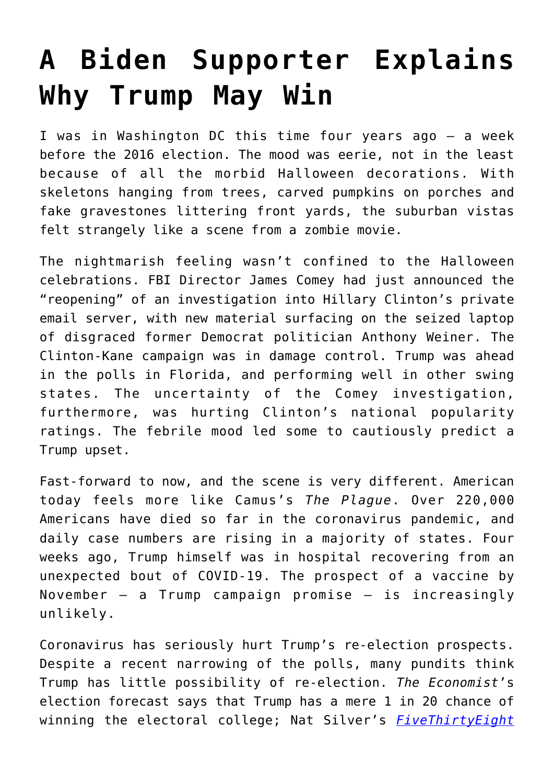## **[A Biden Supporter Explains](https://intellectualtakeout.org/2020/10/a-biden-supporter-explains-why-trump-may-win/) [Why Trump May Win](https://intellectualtakeout.org/2020/10/a-biden-supporter-explains-why-trump-may-win/)**

I was in Washington DC this time four years ago – a week before the 2016 election. The mood was eerie, not in the least because of all the morbid Halloween decorations. With skeletons hanging from trees, carved pumpkins on porches and fake gravestones littering front yards, the suburban vistas felt strangely like a scene from a zombie movie.

The nightmarish feeling wasn't confined to the Halloween celebrations. FBI Director James Comey had just announced the "reopening" of an investigation into Hillary Clinton's private email server, with new material surfacing on the seized laptop of disgraced former Democrat politician Anthony Weiner. The Clinton-Kane campaign was in damage control. Trump was ahead in the polls in Florida, and performing well in other swing states. The uncertainty of the Comey investigation, furthermore, was hurting Clinton's national popularity ratings. The febrile mood led some to cautiously predict a Trump upset.

Fast-forward to now, and the scene is very different. American today feels more like Camus's *The Plague*. Over 220,000 Americans have died so far in the coronavirus pandemic, and daily case numbers are rising in a majority of states. Four weeks ago, Trump himself was in hospital recovering from an unexpected bout of COVID-19. The prospect of a vaccine by November – a Trump campaign promise – is increasingly unlikely.

Coronavirus has seriously hurt Trump's re-election prospects. Despite a recent narrowing of the polls, many pundits think Trump has little possibility of re-election. *The Economist*'s election forecast says that Trump has a mere 1 in 20 chance of winning the electoral college; Nat Silver's *[FiveThirtyEight](https://fivethirtyeight.com/)*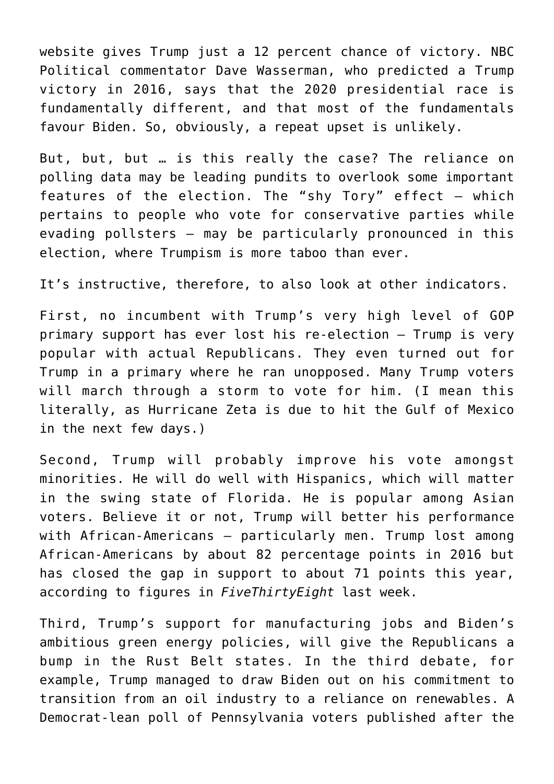website gives Trump just a 12 percent chance of victory. NBC Political commentator Dave Wasserman, who predicted a Trump victory in 2016, says that the 2020 presidential race is fundamentally different, and that most of the fundamentals favour Biden. So, obviously, a repeat upset is unlikely.

But, but, but … is this really the case? The reliance on polling data may be leading pundits to overlook some important features of the election. The "shy Tory" effect – which pertains to people who vote for conservative parties while evading pollsters – may be particularly pronounced in this election, where Trumpism is more taboo than ever.

It's instructive, therefore, to also look at other indicators.

First, no incumbent with Trump's very high level of GOP primary support has ever lost his re-election – Trump is very popular with actual Republicans. They even turned out for Trump in a primary where he ran unopposed. Many Trump voters will march through a storm to vote for him. (I mean this literally, as Hurricane Zeta is due to hit the Gulf of Mexico in the next few days.)

Second, Trump will probably improve his vote amongst minorities. He will do well with Hispanics, which will matter in the swing state of Florida. He is popular among Asian voters. Believe it or not, Trump will better his performance with African-Americans – particularly men. Trump lost among African-Americans by about 82 percentage points in 2016 but has closed the gap in support to about 71 points this year, according to figures in *FiveThirtyEight* last week.

Third, Trump's support for manufacturing jobs and Biden's ambitious green energy policies, will give the Republicans a bump in the Rust Belt states. In the third debate, for example, Trump managed to draw Biden out on his commitment to transition from an oil industry to a reliance on renewables. A Democrat-lean poll of Pennsylvania voters published after the